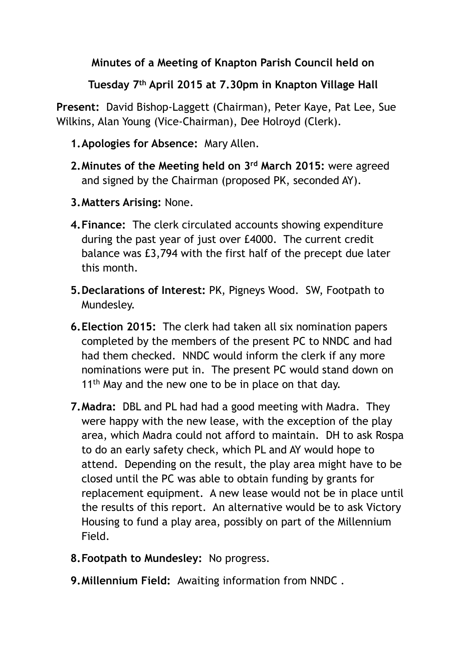**Minutes of a Meeting of Knapton Parish Council held on** 

**Tuesday 7th April 2015 at 7.30pm in Knapton Village Hall**

**Present:** David Bishop-Laggett (Chairman), Peter Kaye, Pat Lee, Sue Wilkins, Alan Young (Vice-Chairman), Dee Holroyd (Clerk).

## **1.Apologies for Absence:** Mary Allen.

- **2.Minutes of the Meeting held on 3rd March 2015:** were agreed and signed by the Chairman (proposed PK, seconded AY).
- **3.Matters Arising:** None.
- **4.Finance:** The clerk circulated accounts showing expenditure during the past year of just over £4000. The current credit balance was £3,794 with the first half of the precept due later this month.
- **5.Declarations of Interest:** PK, Pigneys Wood. SW, Footpath to Mundesley.
- **6.Election 2015:** The clerk had taken all six nomination papers completed by the members of the present PC to NNDC and had had them checked. NNDC would inform the clerk if any more nominations were put in. The present PC would stand down on 11<sup>th</sup> May and the new one to be in place on that day.
- **7.Madra:** DBL and PL had had a good meeting with Madra. They were happy with the new lease, with the exception of the play area, which Madra could not afford to maintain. DH to ask Rospa to do an early safety check, which PL and AY would hope to attend. Depending on the result, the play area might have to be closed until the PC was able to obtain funding by grants for replacement equipment. A new lease would not be in place until the results of this report. An alternative would be to ask Victory Housing to fund a play area, possibly on part of the Millennium Field.
- **8.Footpath to Mundesley:** No progress.
- **9.Millennium Field:** Awaiting information from NNDC .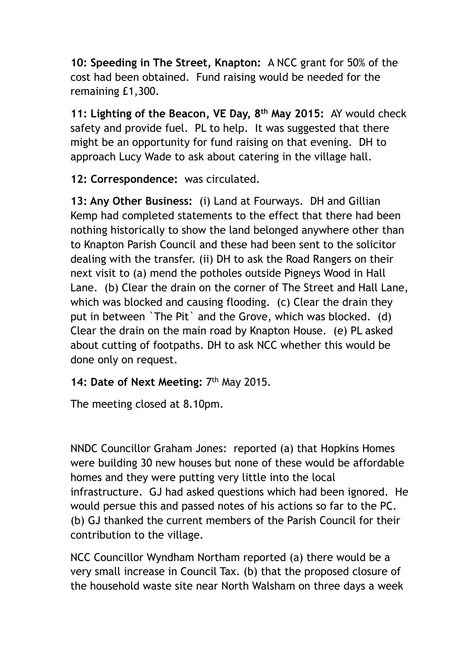**10: Speeding in The Street, Knapton:** A NCC grant for 50% of the cost had been obtained. Fund raising would be needed for the remaining £1,300.

**11: Lighting of the Beacon, VE Day, 8th May 2015:** AY would check safety and provide fuel. PL to help. It was suggested that there might be an opportunity for fund raising on that evening. DH to approach Lucy Wade to ask about catering in the village hall.

**12: Correspondence:** was circulated.

**13: Any Other Business:** (i) Land at Fourways. DH and Gillian Kemp had completed statements to the effect that there had been nothing historically to show the land belonged anywhere other than to Knapton Parish Council and these had been sent to the solicitor dealing with the transfer. (ii) DH to ask the Road Rangers on their next visit to (a) mend the potholes outside Pigneys Wood in Hall Lane. (b) Clear the drain on the corner of The Street and Hall Lane, which was blocked and causing flooding. (c) Clear the drain they put in between `The Pit` and the Grove, which was blocked. (d) Clear the drain on the main road by Knapton House. (e) PL asked about cutting of footpaths. DH to ask NCC whether this would be done only on request.

## **14: Date of Next Meeting:** 7th May 2015.

The meeting closed at 8.10pm.

NNDC Councillor Graham Jones: reported (a) that Hopkins Homes were building 30 new houses but none of these would be affordable homes and they were putting very little into the local infrastructure. GJ had asked questions which had been ignored. He would persue this and passed notes of his actions so far to the PC. (b) GJ thanked the current members of the Parish Council for their contribution to the village.

NCC Councillor Wyndham Northam reported (a) there would be a very small increase in Council Tax. (b) that the proposed closure of the household waste site near North Walsham on three days a week